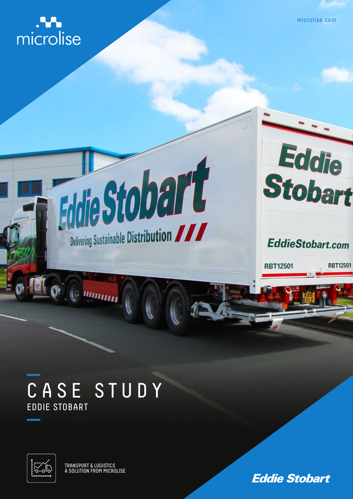microlise

microlise.com

Eddie<br>Stobart

**EddieStobart.com** 

**RBT12501** 

**RBT12501** 

## CASE STUDY EDDIE STOBART

muun<sub>n</sub>

Eddie Stobart

Delivering Sustainable Distribution



TRANSPORT & LOGISTICS A SOLUTION FROM MICROLISE

**Eddie Stobart**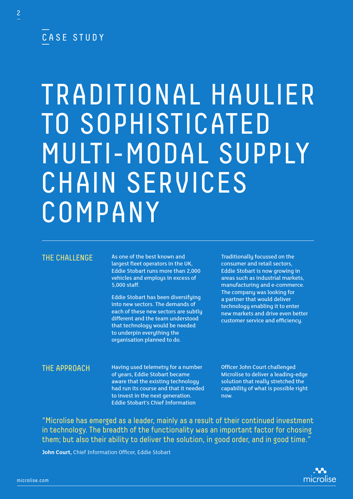### CASE STUDY

# TRADITIONAL HAULIER TO SOPHISTICATED MULTI-MODAL SUPPLY CHAIN SERVICES COMPANY

#### THE CHALLENGE

As one of the best known and largest fleet operators in the UK, Eddie Stobart runs more than 2,000 vehicles and employs in excess of 5,000 staff.

Eddie Stobart has been diversifying into new sectors. The demands of each of these new sectors are subtly different and the team understood that technology would be needed to underpin everuthing the organisation planned to do.

Traditionally focussed on the consumer and retail sectors, Eddie Stobart is now growing in areas such as industrial markets, manufacturing and e-commerce. The company was looking for a partner that would deliver technology enabling it to enter new markets and drive even better customer service and efficiency.

#### THE APPROACH

Having used telemetry for a number of years, Eddie Stobart became aware that the existing technology had run its course and that it needed to invest in the next generation. Eddie Stobart's Chief Information

Officer John Court challenged Microlise to deliver a leading-edge solution that really stretched the capability of what is possible right now.

"Microlise has emerged as a leader, mainly as a result of their continued investment in technology. The breadth of the functionality was an important factor for chosing them; but also their ability to deliver the solution, in good order, and in good time."

**John Court,** Chief Information Officer, Eddie Stobart

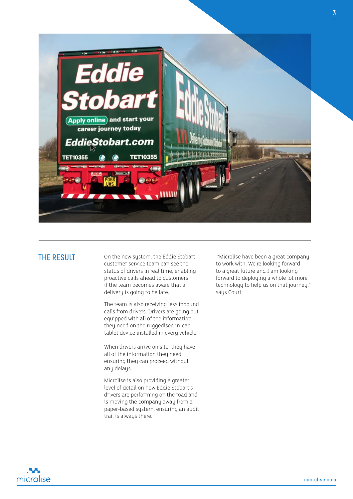

#### THE RESULT

On the new system, the Eddie Stobart customer service team can see the status of drivers in real time, enabling proactive calls ahead to customers if the team becomes aware that a delivery is going to be late.

The team is also receiving less inbound calls from drivers. Drivers are going out equipped with all of the information they need on the ruggedised in-cab tablet device installed in every vehicle.

When drivers arrive on site, they have all of the information they need. ensuring they can proceed without any delays.

Microlise is also providing a greater level of detail on how Eddie Stobart's drivers are performing on the road and is moving the company away from a paper-based system, ensuring an audit trail is always there.

 "Microlise have been a great company to work with. We're looking forward to a great future and I am looking forward to deploying a whole lot more technology to help us on that journey," says Court.